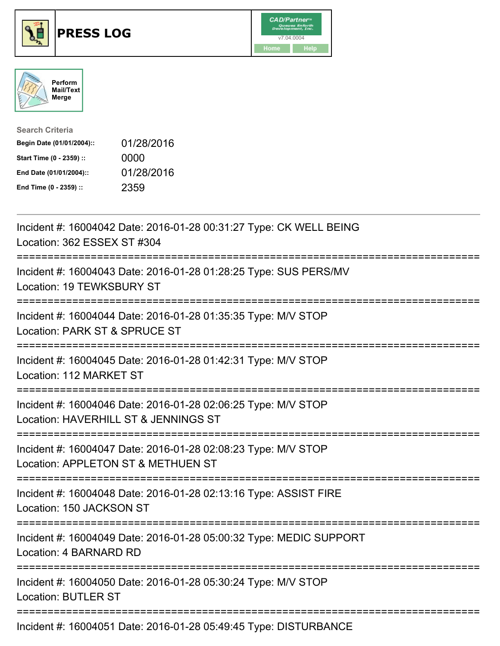





| <b>Search Criteria</b>    |            |
|---------------------------|------------|
| Begin Date (01/01/2004):: | 01/28/2016 |
| Start Time (0 - 2359) ::  | 0000       |
| End Date (01/01/2004)::   | 01/28/2016 |
| End Time (0 - 2359) ::    | 2359       |

| Incident #: 16004042 Date: 2016-01-28 00:31:27 Type: CK WELL BEING<br>Location: 362 ESSEX ST #304                                     |
|---------------------------------------------------------------------------------------------------------------------------------------|
| Incident #: 16004043 Date: 2016-01-28 01:28:25 Type: SUS PERS/MV<br>Location: 19 TEWKSBURY ST                                         |
| Incident #: 16004044 Date: 2016-01-28 01:35:35 Type: M/V STOP<br>Location: PARK ST & SPRUCE ST<br>.--------------------               |
| Incident #: 16004045 Date: 2016-01-28 01:42:31 Type: M/V STOP<br>Location: 112 MARKET ST                                              |
| Incident #: 16004046 Date: 2016-01-28 02:06:25 Type: M/V STOP<br>Location: HAVERHILL ST & JENNINGS ST                                 |
| Incident #: 16004047 Date: 2016-01-28 02:08:23 Type: M/V STOP<br>Location: APPLETON ST & METHUEN ST<br>;============================= |
| Incident #: 16004048 Date: 2016-01-28 02:13:16 Type: ASSIST FIRE<br>Location: 150 JACKSON ST                                          |
| ;===================<br>Incident #: 16004049 Date: 2016-01-28 05:00:32 Type: MEDIC SUPPORT<br>Location: 4 BARNARD RD                  |
| Incident #: 16004050 Date: 2016-01-28 05:30:24 Type: M/V STOP<br><b>Location: BUTLER ST</b>                                           |
| Incident #: 16004051 Date: 2016-01-28 05:49:45 Type: DISTURBANCE                                                                      |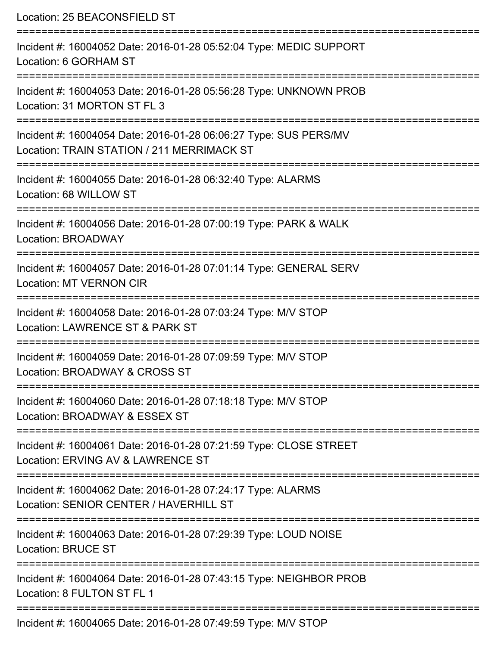Location: 25 BEACONSFIELD ST =========================================================================== Incident #: 16004052 Date: 2016-01-28 05:52:04 Type: MEDIC SUPPORT Location: 6 GORHAM ST =========================================================================== Incident #: 16004053 Date: 2016-01-28 05:56:28 Type: UNKNOWN PROB Location: 31 MORTON ST FL 3 =========================================================================== Incident #: 16004054 Date: 2016-01-28 06:06:27 Type: SUS PERS/MV Location: TRAIN STATION / 211 MERRIMACK ST =========================================================================== Incident #: 16004055 Date: 2016-01-28 06:32:40 Type: ALARMS Location: 68 WILLOW ST =========================================================================== Incident #: 16004056 Date: 2016-01-28 07:00:19 Type: PARK & WALK Location: BROADWAY =========================================================================== Incident #: 16004057 Date: 2016-01-28 07:01:14 Type: GENERAL SERV Location: MT VERNON CIR =========================================================================== Incident #: 16004058 Date: 2016-01-28 07:03:24 Type: M/V STOP Location: LAWRENCE ST & PARK ST =========================================================================== Incident #: 16004059 Date: 2016-01-28 07:09:59 Type: M/V STOP Location: BROADWAY & CROSS ST =========================================================================== Incident #: 16004060 Date: 2016-01-28 07:18:18 Type: M/V STOP Location: BROADWAY & ESSEX ST =========================================================================== Incident #: 16004061 Date: 2016-01-28 07:21:59 Type: CLOSE STREET Location: ERVING AV & LAWRENCE ST =========================================================================== Incident #: 16004062 Date: 2016-01-28 07:24:17 Type: ALARMS Location: SENIOR CENTER / HAVERHILL ST =========================================================================== Incident #: 16004063 Date: 2016-01-28 07:29:39 Type: LOUD NOISE Location: BRUCE ST =========================================================================== Incident #: 16004064 Date: 2016-01-28 07:43:15 Type: NEIGHBOR PROB Location: 8 FULTON ST FL 1 =========================================================================== Incident #: 16004065 Date: 2016-01-28 07:49:59 Type: M/V STOP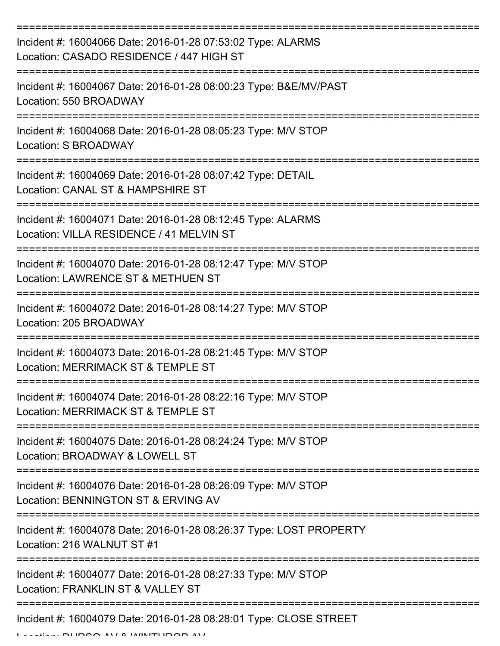| Incident #: 16004066 Date: 2016-01-28 07:53:02 Type: ALARMS<br>Location: CASADO RESIDENCE / 447 HIGH ST |
|---------------------------------------------------------------------------------------------------------|
| Incident #: 16004067 Date: 2016-01-28 08:00:23 Type: B&E/MV/PAST<br>Location: 550 BROADWAY              |
| Incident #: 16004068 Date: 2016-01-28 08:05:23 Type: M/V STOP<br>Location: S BROADWAY                   |
| Incident #: 16004069 Date: 2016-01-28 08:07:42 Type: DETAIL<br>Location: CANAL ST & HAMPSHIRE ST        |
| Incident #: 16004071 Date: 2016-01-28 08:12:45 Type: ALARMS<br>Location: VILLA RESIDENCE / 41 MELVIN ST |
| Incident #: 16004070 Date: 2016-01-28 08:12:47 Type: M/V STOP<br>Location: LAWRENCE ST & METHUEN ST     |
| Incident #: 16004072 Date: 2016-01-28 08:14:27 Type: M/V STOP<br>Location: 205 BROADWAY                 |
| Incident #: 16004073 Date: 2016-01-28 08:21:45 Type: M/V STOP<br>Location: MERRIMACK ST & TEMPLE ST     |
| Incident #: 16004074 Date: 2016-01-28 08:22:16 Type: M/V STOP<br>Location: MERRIMACK ST & TEMPLE ST     |
| Incident #: 16004075 Date: 2016-01-28 08:24:24 Type: M/V STOP<br>Location: BROADWAY & LOWELL ST         |
| Incident #: 16004076 Date: 2016-01-28 08:26:09 Type: M/V STOP<br>Location: BENNINGTON ST & ERVING AV    |
| Incident #: 16004078 Date: 2016-01-28 08:26:37 Type: LOST PROPERTY<br>Location: 216 WALNUT ST #1        |
| Incident #: 16004077 Date: 2016-01-28 08:27:33 Type: M/V STOP<br>Location: FRANKLIN ST & VALLEY ST      |
| Incident #: 16004079 Date: 2016-01-28 08:28:01 Type: CLOSE STREET                                       |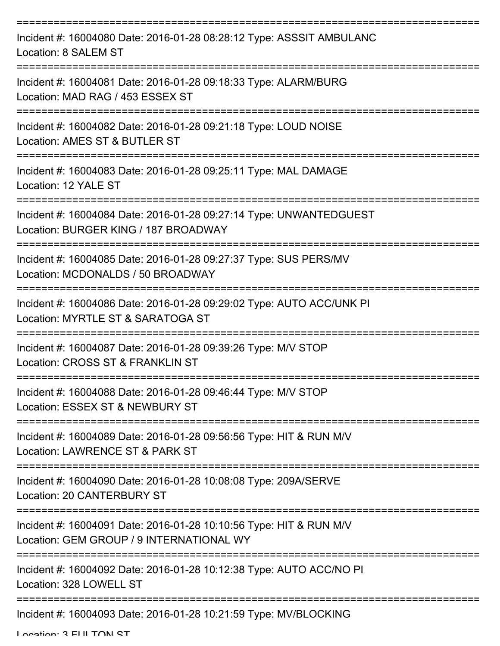| Incident #: 16004080 Date: 2016-01-28 08:28:12 Type: ASSSIT AMBULANC<br>Location: 8 SALEM ST                                                   |
|------------------------------------------------------------------------------------------------------------------------------------------------|
| Incident #: 16004081 Date: 2016-01-28 09:18:33 Type: ALARM/BURG<br>Location: MAD RAG / 453 ESSEX ST                                            |
| Incident #: 16004082 Date: 2016-01-28 09:21:18 Type: LOUD NOISE<br>Location: AMES ST & BUTLER ST                                               |
| Incident #: 16004083 Date: 2016-01-28 09:25:11 Type: MAL DAMAGE<br>Location: 12 YALE ST                                                        |
| Incident #: 16004084 Date: 2016-01-28 09:27:14 Type: UNWANTEDGUEST<br>Location: BURGER KING / 187 BROADWAY<br>================================ |
| Incident #: 16004085 Date: 2016-01-28 09:27:37 Type: SUS PERS/MV<br>Location: MCDONALDS / 50 BROADWAY                                          |
| Incident #: 16004086 Date: 2016-01-28 09:29:02 Type: AUTO ACC/UNK PI<br>Location: MYRTLE ST & SARATOGA ST                                      |
| Incident #: 16004087 Date: 2016-01-28 09:39:26 Type: M/V STOP<br>Location: CROSS ST & FRANKLIN ST                                              |
| Incident #: 16004088 Date: 2016-01-28 09:46:44 Type: M/V STOP<br>Location: ESSEX ST & NEWBURY ST                                               |
| Incident #: 16004089 Date: 2016-01-28 09:56:56 Type: HIT & RUN M/V<br>Location: LAWRENCE ST & PARK ST                                          |
| Incident #: 16004090 Date: 2016-01-28 10:08:08 Type: 209A/SERVE<br>Location: 20 CANTERBURY ST                                                  |
| Incident #: 16004091 Date: 2016-01-28 10:10:56 Type: HIT & RUN M/V<br>Location: GEM GROUP / 9 INTERNATIONAL WY                                 |
| Incident #: 16004092 Date: 2016-01-28 10:12:38 Type: AUTO ACC/NO PI<br>Location: 328 LOWELL ST                                                 |
| Incident #: 16004093 Date: 2016-01-28 10:21:59 Type: MV/BLOCKING                                                                               |

Location: 2 ELILTON ST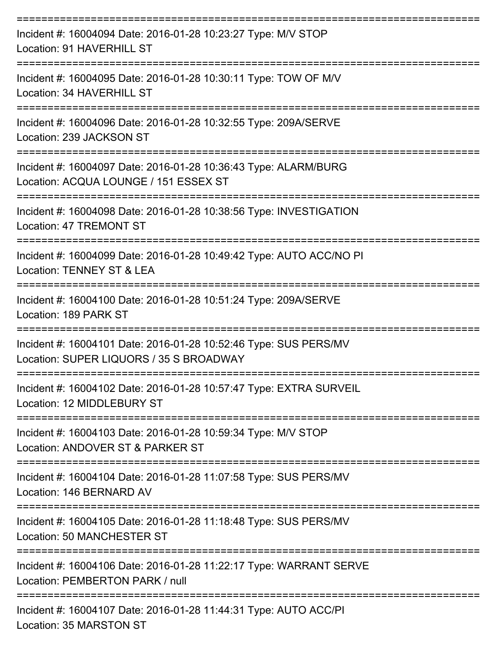| Incident #: 16004094 Date: 2016-01-28 10:23:27 Type: M/V STOP<br>Location: 91 HAVERHILL ST                                                             |
|--------------------------------------------------------------------------------------------------------------------------------------------------------|
| Incident #: 16004095 Date: 2016-01-28 10:30:11 Type: TOW OF M/V<br>Location: 34 HAVERHILL ST                                                           |
| Incident #: 16004096 Date: 2016-01-28 10:32:55 Type: 209A/SERVE<br>Location: 239 JACKSON ST                                                            |
| Incident #: 16004097 Date: 2016-01-28 10:36:43 Type: ALARM/BURG<br>Location: ACQUA LOUNGE / 151 ESSEX ST                                               |
| Incident #: 16004098 Date: 2016-01-28 10:38:56 Type: INVESTIGATION<br><b>Location: 47 TREMONT ST</b>                                                   |
| Incident #: 16004099 Date: 2016-01-28 10:49:42 Type: AUTO ACC/NO PI<br>Location: TENNEY ST & LEA                                                       |
| Incident #: 16004100 Date: 2016-01-28 10:51:24 Type: 209A/SERVE<br>Location: 189 PARK ST<br>============================                               |
| Incident #: 16004101 Date: 2016-01-28 10:52:46 Type: SUS PERS/MV<br>Location: SUPER LIQUORS / 35 S BROADWAY                                            |
| Incident #: 16004102 Date: 2016-01-28 10:57:47 Type: EXTRA SURVEIL<br>Location: 12 MIDDLEBURY ST                                                       |
| :================<br>============================<br>Incident #: 16004103 Date: 2016-01-28 10:59:34 Type: M/V STOP<br>Location: ANDOVER ST & PARKER ST |
| Incident #: 16004104 Date: 2016-01-28 11:07:58 Type: SUS PERS/MV<br>Location: 146 BERNARD AV                                                           |
| Incident #: 16004105 Date: 2016-01-28 11:18:48 Type: SUS PERS/MV<br><b>Location: 50 MANCHESTER ST</b>                                                  |
| Incident #: 16004106 Date: 2016-01-28 11:22:17 Type: WARRANT SERVE<br>Location: PEMBERTON PARK / null                                                  |
| Incident #: 16004107 Date: 2016-01-28 11:44:31 Type: AUTO ACC/PI<br>Location: 35 MARSTON ST                                                            |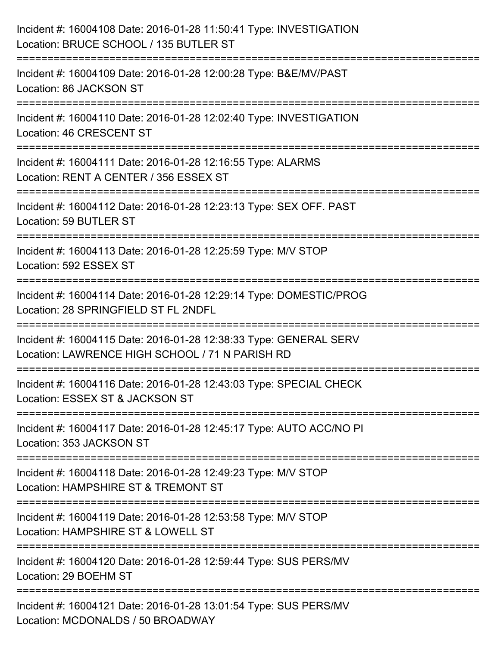| Incident #: 16004108 Date: 2016-01-28 11:50:41 Type: INVESTIGATION<br>Location: BRUCE SCHOOL / 135 BUTLER ST                                                              |
|---------------------------------------------------------------------------------------------------------------------------------------------------------------------------|
| ======================<br>Incident #: 16004109 Date: 2016-01-28 12:00:28 Type: B&E/MV/PAST<br>Location: 86 JACKSON ST                                                     |
| Incident #: 16004110 Date: 2016-01-28 12:02:40 Type: INVESTIGATION<br>Location: 46 CRESCENT ST<br>====================================<br>=============================== |
| Incident #: 16004111 Date: 2016-01-28 12:16:55 Type: ALARMS<br>Location: RENT A CENTER / 356 ESSEX ST                                                                     |
| Incident #: 16004112 Date: 2016-01-28 12:23:13 Type: SEX OFF. PAST<br>Location: 59 BUTLER ST<br>============================                                              |
| Incident #: 16004113 Date: 2016-01-28 12:25:59 Type: M/V STOP<br>Location: 592 ESSEX ST                                                                                   |
| Incident #: 16004114 Date: 2016-01-28 12:29:14 Type: DOMESTIC/PROG<br>Location: 28 SPRINGFIELD ST FL 2NDFL                                                                |
| Incident #: 16004115 Date: 2016-01-28 12:38:33 Type: GENERAL SERV<br>Location: LAWRENCE HIGH SCHOOL / 71 N PARISH RD                                                      |
| Incident #: 16004116 Date: 2016-01-28 12:43:03 Type: SPECIAL CHECK<br>Location: ESSEX ST & JACKSON ST                                                                     |
| Incident #: 16004117 Date: 2016-01-28 12:45:17 Type: AUTO ACC/NO PI<br>Location: 353 JACKSON ST                                                                           |
| Incident #: 16004118 Date: 2016-01-28 12:49:23 Type: M/V STOP<br>Location: HAMPSHIRE ST & TREMONT ST                                                                      |
| Incident #: 16004119 Date: 2016-01-28 12:53:58 Type: M/V STOP<br>Location: HAMPSHIRE ST & LOWELL ST                                                                       |
| Incident #: 16004120 Date: 2016-01-28 12:59:44 Type: SUS PERS/MV<br>Location: 29 BOEHM ST                                                                                 |
| Incident #: 16004121 Date: 2016-01-28 13:01:54 Type: SUS PERS/MV<br>Location: MCDONALDS / 50 BROADWAY                                                                     |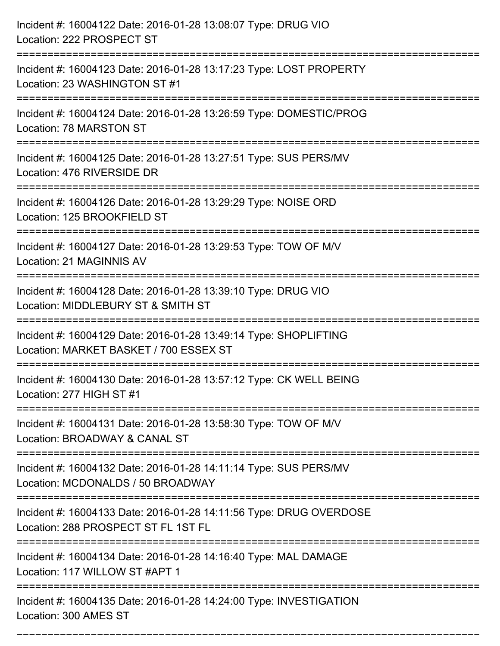| Incident #: 16004122 Date: 2016-01-28 13:08:07 Type: DRUG VIO<br>Location: 222 PROSPECT ST                                             |
|----------------------------------------------------------------------------------------------------------------------------------------|
| Incident #: 16004123 Date: 2016-01-28 13:17:23 Type: LOST PROPERTY<br>Location: 23 WASHINGTON ST #1                                    |
| Incident #: 16004124 Date: 2016-01-28 13:26:59 Type: DOMESTIC/PROG<br><b>Location: 78 MARSTON ST</b>                                   |
| Incident #: 16004125 Date: 2016-01-28 13:27:51 Type: SUS PERS/MV<br>Location: 476 RIVERSIDE DR                                         |
| Incident #: 16004126 Date: 2016-01-28 13:29:29 Type: NOISE ORD<br>Location: 125 BROOKFIELD ST                                          |
| Incident #: 16004127 Date: 2016-01-28 13:29:53 Type: TOW OF M/V<br>Location: 21 MAGINNIS AV                                            |
| Incident #: 16004128 Date: 2016-01-28 13:39:10 Type: DRUG VIO<br>Location: MIDDLEBURY ST & SMITH ST                                    |
| Incident #: 16004129 Date: 2016-01-28 13:49:14 Type: SHOPLIFTING<br>Location: MARKET BASKET / 700 ESSEX ST                             |
| Incident #: 16004130 Date: 2016-01-28 13:57:12 Type: CK WELL BEING<br>Location: 277 HIGH ST #1                                         |
| Incident #: 16004131 Date: 2016-01-28 13:58:30 Type: TOW OF M/V<br>Location: BROADWAY & CANAL ST                                       |
| Incident #: 16004132 Date: 2016-01-28 14:11:14 Type: SUS PERS/MV<br>Location: MCDONALDS / 50 BROADWAY<br>:============================ |
| Incident #: 16004133 Date: 2016-01-28 14:11:56 Type: DRUG OVERDOSE<br>Location: 288 PROSPECT ST FL 1ST FL                              |
| Incident #: 16004134 Date: 2016-01-28 14:16:40 Type: MAL DAMAGE<br>Location: 117 WILLOW ST #APT 1                                      |
| Incident #: 16004135 Date: 2016-01-28 14:24:00 Type: INVESTIGATION<br>Location: 300 AMES ST                                            |

===========================================================================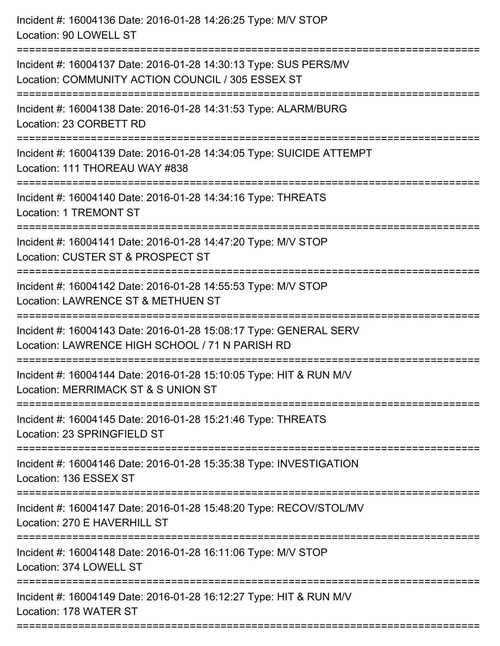| Incident #: 16004136 Date: 2016-01-28 14:26:25 Type: M/V STOP<br>Location: 90 LOWELL ST                                                  |
|------------------------------------------------------------------------------------------------------------------------------------------|
| Incident #: 16004137 Date: 2016-01-28 14:30:13 Type: SUS PERS/MV<br>Location: COMMUNITY ACTION COUNCIL / 305 ESSEX ST<br>=============== |
| Incident #: 16004138 Date: 2016-01-28 14:31:53 Type: ALARM/BURG<br>Location: 23 CORBETT RD                                               |
| Incident #: 16004139 Date: 2016-01-28 14:34:05 Type: SUICIDE ATTEMPT<br>Location: 111 THOREAU WAY #838                                   |
| Incident #: 16004140 Date: 2016-01-28 14:34:16 Type: THREATS<br><b>Location: 1 TREMONT ST</b>                                            |
| Incident #: 16004141 Date: 2016-01-28 14:47:20 Type: M/V STOP<br>Location: CUSTER ST & PROSPECT ST                                       |
| Incident #: 16004142 Date: 2016-01-28 14:55:53 Type: M/V STOP<br>Location: LAWRENCE ST & METHUEN ST                                      |
| Incident #: 16004143 Date: 2016-01-28 15:08:17 Type: GENERAL SERV<br>Location: LAWRENCE HIGH SCHOOL / 71 N PARISH RD                     |
| Incident #: 16004144 Date: 2016-01-28 15:10:05 Type: HIT & RUN M/V<br>Location: MERRIMACK ST & S UNION ST                                |
| Incident #: 16004145 Date: 2016-01-28 15:21:46 Type: THREATS<br>Location: 23 SPRINGFIELD ST                                              |
| Incident #: 16004146 Date: 2016-01-28 15:35:38 Type: INVESTIGATION<br>Location: 136 ESSEX ST                                             |
| Incident #: 16004147 Date: 2016-01-28 15:48:20 Type: RECOV/STOL/MV<br>Location: 270 E HAVERHILL ST                                       |
| Incident #: 16004148 Date: 2016-01-28 16:11:06 Type: M/V STOP<br>Location: 374 LOWELL ST                                                 |
| Incident #: 16004149 Date: 2016-01-28 16:12:27 Type: HIT & RUN M/V<br>Location: 178 WATER ST                                             |
|                                                                                                                                          |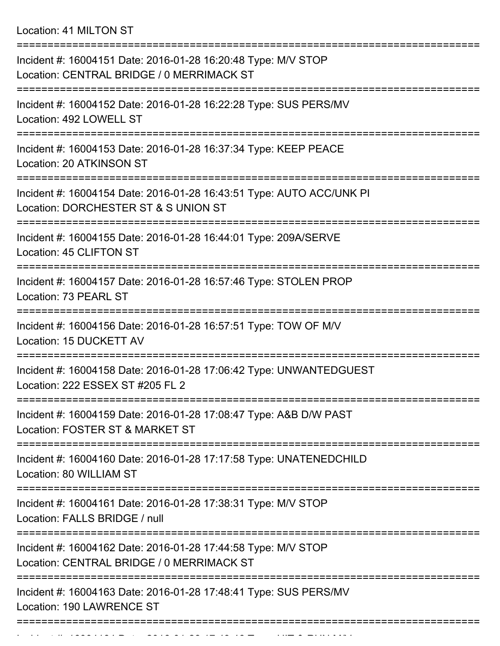Location: 41 MILTON ST

| Incident #: 16004151 Date: 2016-01-28 16:20:48 Type: M/V STOP<br>Location: CENTRAL BRIDGE / 0 MERRIMACK ST                    |
|-------------------------------------------------------------------------------------------------------------------------------|
| Incident #: 16004152 Date: 2016-01-28 16:22:28 Type: SUS PERS/MV<br>Location: 492 LOWELL ST                                   |
| Incident #: 16004153 Date: 2016-01-28 16:37:34 Type: KEEP PEACE<br>Location: 20 ATKINSON ST                                   |
| Incident #: 16004154 Date: 2016-01-28 16:43:51 Type: AUTO ACC/UNK PI<br>Location: DORCHESTER ST & S UNION ST                  |
| Incident #: 16004155 Date: 2016-01-28 16:44:01 Type: 209A/SERVE<br>Location: 45 CLIFTON ST                                    |
| ================================<br>Incident #: 16004157 Date: 2016-01-28 16:57:46 Type: STOLEN PROP<br>Location: 73 PEARL ST |
| Incident #: 16004156 Date: 2016-01-28 16:57:51 Type: TOW OF M/V<br>Location: 15 DUCKETT AV                                    |
| Incident #: 16004158 Date: 2016-01-28 17:06:42 Type: UNWANTEDGUEST<br>Location: 222 ESSEX ST #205 FL 2                        |
| Incident #: 16004159 Date: 2016-01-28 17:08:47 Type: A&B D/W PAST<br>Location: FOSTER ST & MARKET ST                          |
| Incident #: 16004160 Date: 2016-01-28 17:17:58 Type: UNATENEDCHILD<br>Location: 80 WILLIAM ST                                 |
| Incident #: 16004161 Date: 2016-01-28 17:38:31 Type: M/V STOP<br>Location: FALLS BRIDGE / null                                |
| Incident #: 16004162 Date: 2016-01-28 17:44:58 Type: M/V STOP<br>Location: CENTRAL BRIDGE / 0 MERRIMACK ST                    |
| Incident #: 16004163 Date: 2016-01-28 17:48:41 Type: SUS PERS/MV<br>Location: 190 LAWRENCE ST                                 |
|                                                                                                                               |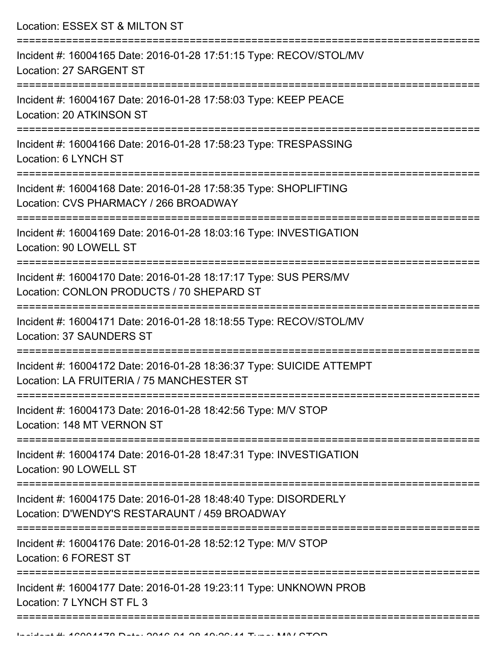Location: ESSEX ST & MILTON ST =========================================================================== Incident #: 16004165 Date: 2016-01-28 17:51:15 Type: RECOV/STOL/MV Location: 27 SARGENT ST =========================================================================== Incident #: 16004167 Date: 2016-01-28 17:58:03 Type: KEEP PEACE Location: 20 ATKINSON ST =========================================================================== Incident #: 16004166 Date: 2016-01-28 17:58:23 Type: TRESPASSING Location: 6 LYNCH ST =========================================================================== Incident #: 16004168 Date: 2016-01-28 17:58:35 Type: SHOPLIFTING Location: CVS PHARMACY / 266 BROADWAY =========================================================================== Incident #: 16004169 Date: 2016-01-28 18:03:16 Type: INVESTIGATION Location: 90 LOWELL ST =========================================================================== Incident #: 16004170 Date: 2016-01-28 18:17:17 Type: SUS PERS/MV Location: CONLON PRODUCTS / 70 SHEPARD ST =========================================================================== Incident #: 16004171 Date: 2016-01-28 18:18:55 Type: RECOV/STOL/MV Location: 37 SAUNDERS ST =========================================================================== Incident #: 16004172 Date: 2016-01-28 18:36:37 Type: SUICIDE ATTEMPT Location: LA FRUITERIA / 75 MANCHESTER ST =========================================================================== Incident #: 16004173 Date: 2016-01-28 18:42:56 Type: M/V STOP Location: 148 MT VERNON ST =========================================================================== Incident #: 16004174 Date: 2016-01-28 18:47:31 Type: INVESTIGATION Location: 90 LOWELL ST =========================================================================== Incident #: 16004175 Date: 2016-01-28 18:48:40 Type: DISORDERLY Location: D'WENDY'S RESTARAUNT / 459 BROADWAY =========================================================================== Incident #: 16004176 Date: 2016-01-28 18:52:12 Type: M/V STOP Location: 6 FOREST ST =========================================================================== Incident #: 16004177 Date: 2016-01-28 19:23:11 Type: UNKNOWN PROB Location: 7 LYNCH ST FL 3 ===========================================================================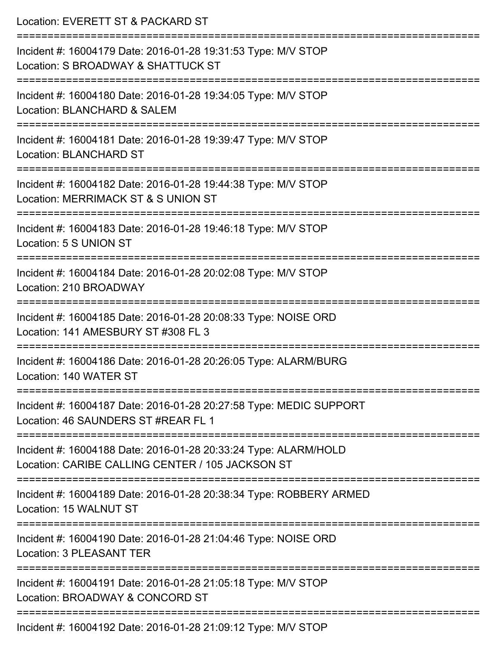| Location: EVERETT ST & PACKARD ST                                                                                   |
|---------------------------------------------------------------------------------------------------------------------|
| Incident #: 16004179 Date: 2016-01-28 19:31:53 Type: M/V STOP<br>Location: S BROADWAY & SHATTUCK ST                 |
| Incident #: 16004180 Date: 2016-01-28 19:34:05 Type: M/V STOP<br>Location: BLANCHARD & SALEM                        |
| Incident #: 16004181 Date: 2016-01-28 19:39:47 Type: M/V STOP<br><b>Location: BLANCHARD ST</b>                      |
| Incident #: 16004182 Date: 2016-01-28 19:44:38 Type: M/V STOP<br>Location: MERRIMACK ST & S UNION ST                |
| Incident #: 16004183 Date: 2016-01-28 19:46:18 Type: M/V STOP<br>Location: 5 S UNION ST                             |
| Incident #: 16004184 Date: 2016-01-28 20:02:08 Type: M/V STOP<br>Location: 210 BROADWAY                             |
| Incident #: 16004185 Date: 2016-01-28 20:08:33 Type: NOISE ORD<br>Location: 141 AMESBURY ST #308 FL 3               |
| Incident #: 16004186 Date: 2016-01-28 20:26:05 Type: ALARM/BURG<br>Location: 140 WATER ST                           |
| Incident #: 16004187 Date: 2016-01-28 20:27:58 Type: MEDIC SUPPORT<br>Location: 46 SAUNDERS ST #REAR FL 1           |
| Incident #: 16004188 Date: 2016-01-28 20:33:24 Type: ALARM/HOLD<br>Location: CARIBE CALLING CENTER / 105 JACKSON ST |
| Incident #: 16004189 Date: 2016-01-28 20:38:34 Type: ROBBERY ARMED<br>Location: 15 WALNUT ST                        |
| Incident #: 16004190 Date: 2016-01-28 21:04:46 Type: NOISE ORD<br>Location: 3 PLEASANT TER                          |
| Incident #: 16004191 Date: 2016-01-28 21:05:18 Type: M/V STOP<br>Location: BROADWAY & CONCORD ST                    |
| Incident #: 16004192 Date: 2016-01-28 21:09:12 Type: M/V STOP                                                       |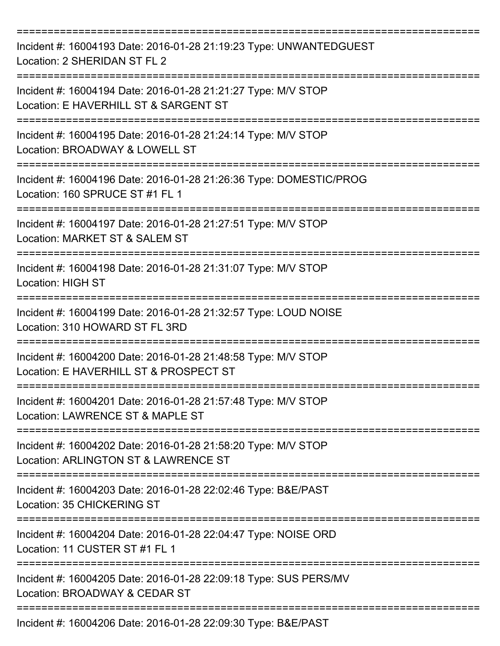| Incident #: 16004193 Date: 2016-01-28 21:19:23 Type: UNWANTEDGUEST<br>Location: 2 SHERIDAN ST FL 2      |
|---------------------------------------------------------------------------------------------------------|
| Incident #: 16004194 Date: 2016-01-28 21:21:27 Type: M/V STOP<br>Location: E HAVERHILL ST & SARGENT ST  |
| Incident #: 16004195 Date: 2016-01-28 21:24:14 Type: M/V STOP<br>Location: BROADWAY & LOWELL ST         |
| Incident #: 16004196 Date: 2016-01-28 21:26:36 Type: DOMESTIC/PROG<br>Location: 160 SPRUCE ST #1 FL 1   |
| Incident #: 16004197 Date: 2016-01-28 21:27:51 Type: M/V STOP<br>Location: MARKET ST & SALEM ST         |
| Incident #: 16004198 Date: 2016-01-28 21:31:07 Type: M/V STOP<br>Location: HIGH ST                      |
| Incident #: 16004199 Date: 2016-01-28 21:32:57 Type: LOUD NOISE<br>Location: 310 HOWARD ST FL 3RD       |
| Incident #: 16004200 Date: 2016-01-28 21:48:58 Type: M/V STOP<br>Location: E HAVERHILL ST & PROSPECT ST |
| Incident #: 16004201 Date: 2016-01-28 21:57:48 Type: M/V STOP<br>Location: LAWRENCE ST & MAPLE ST       |
| Incident #: 16004202 Date: 2016-01-28 21:58:20 Type: M/V STOP<br>Location: ARLINGTON ST & LAWRENCE ST   |
| Incident #: 16004203 Date: 2016-01-28 22:02:46 Type: B&E/PAST<br>Location: 35 CHICKERING ST             |
| Incident #: 16004204 Date: 2016-01-28 22:04:47 Type: NOISE ORD<br>Location: 11 CUSTER ST #1 FL 1        |
| Incident #: 16004205 Date: 2016-01-28 22:09:18 Type: SUS PERS/MV<br>Location: BROADWAY & CEDAR ST       |
| Incident #: 16004206 Date: 2016-01-28 22:09:30 Type: B&E/PAST                                           |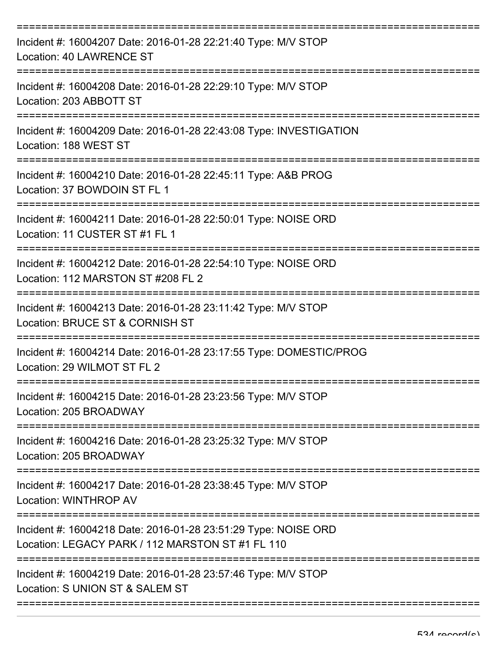| Incident #: 16004207 Date: 2016-01-28 22:21:40 Type: M/V STOP<br>Location: 40 LAWRENCE ST                          |
|--------------------------------------------------------------------------------------------------------------------|
| Incident #: 16004208 Date: 2016-01-28 22:29:10 Type: M/V STOP<br>Location: 203 ABBOTT ST                           |
| Incident #: 16004209 Date: 2016-01-28 22:43:08 Type: INVESTIGATION<br>Location: 188 WEST ST                        |
| Incident #: 16004210 Date: 2016-01-28 22:45:11 Type: A&B PROG<br>Location: 37 BOWDOIN ST FL 1                      |
| Incident #: 16004211 Date: 2016-01-28 22:50:01 Type: NOISE ORD<br>Location: 11 CUSTER ST #1 FL 1                   |
| Incident #: 16004212 Date: 2016-01-28 22:54:10 Type: NOISE ORD<br>Location: 112 MARSTON ST #208 FL 2               |
| Incident #: 16004213 Date: 2016-01-28 23:11:42 Type: M/V STOP<br>Location: BRUCE ST & CORNISH ST                   |
| Incident #: 16004214 Date: 2016-01-28 23:17:55 Type: DOMESTIC/PROG<br>Location: 29 WILMOT ST FL 2                  |
| Incident #: 16004215 Date: 2016-01-28 23:23:56 Type: M/V STOP<br>Location: 205 BROADWAY                            |
| Incident #: 16004216 Date: 2016-01-28 23:25:32 Type: M/V STOP<br>Location: 205 BROADWAY                            |
| Incident #: 16004217 Date: 2016-01-28 23:38:45 Type: M/V STOP<br>Location: WINTHROP AV                             |
| Incident #: 16004218 Date: 2016-01-28 23:51:29 Type: NOISE ORD<br>Location: LEGACY PARK / 112 MARSTON ST #1 FL 110 |
| Incident #: 16004219 Date: 2016-01-28 23:57:46 Type: M/V STOP<br>Location: S UNION ST & SALEM ST                   |
|                                                                                                                    |